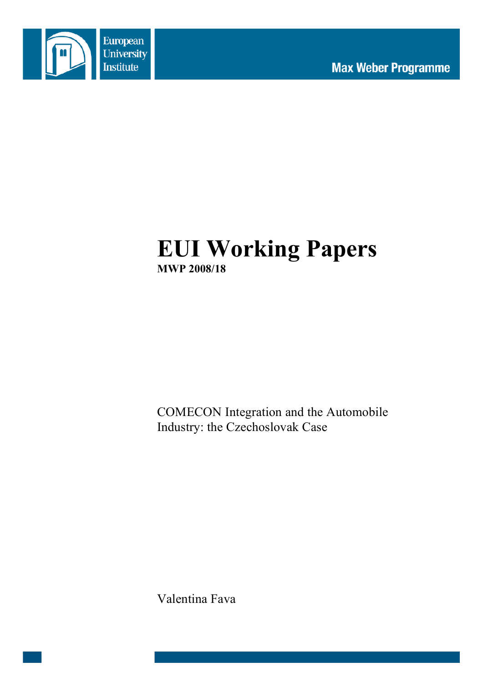

# **EUI Working Papers MWP 2008/18**

COMECON Integration and the Automobile Industry: the Czechoslovak Case

Valentina Fava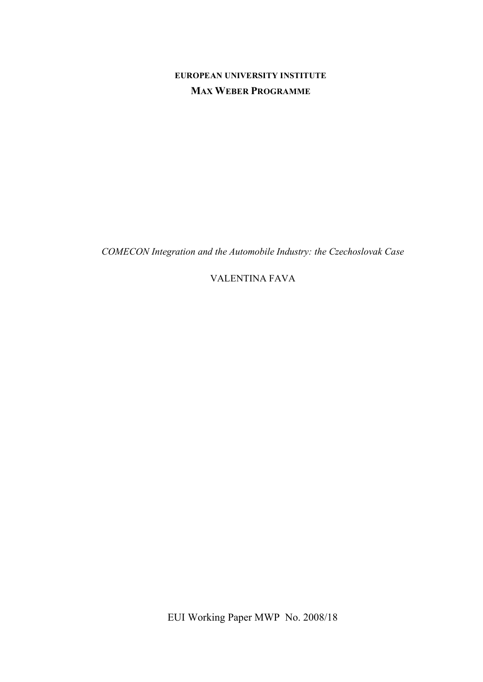# **EUROPEAN UNIVERSITY INSTITUTE MAX WEBER PROGRAMME**

*COMECON Integration and the Automobile Industry: the Czechoslovak Case*

VALENTINA FAVA

EUI Working Paper MWP No. 2008/18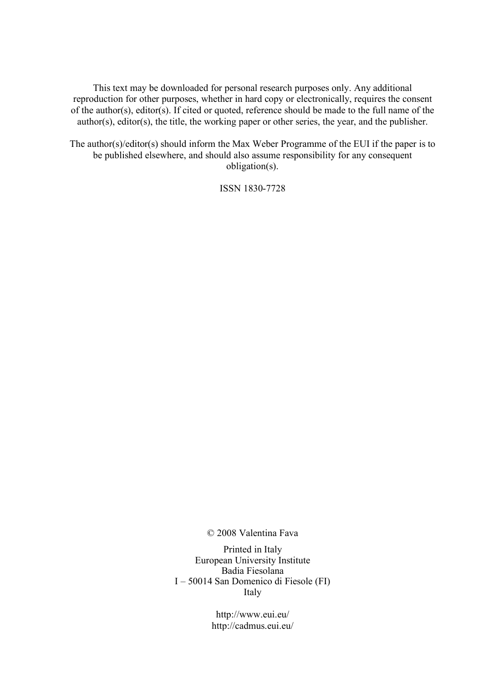This text may be downloaded for personal research purposes only. Any additional reproduction for other purposes, whether in hard copy or electronically, requires the consent of the author(s), editor(s). If cited or quoted, reference should be made to the full name of the author(s), editor(s), the title, the working paper or other series, the year, and the publisher.

The author(s)/editor(s) should inform the Max Weber Programme of the EUI if the paper is to be published elsewhere, and should also assume responsibility for any consequent obligation(s).

ISSN 1830-7728

© 2008 Valentina Fava

Printed in Italy European University Institute Badia Fiesolana I – 50014 San Domenico di Fiesole (FI) Italy

> http://www.eui.eu/ http://cadmus.eui.eu/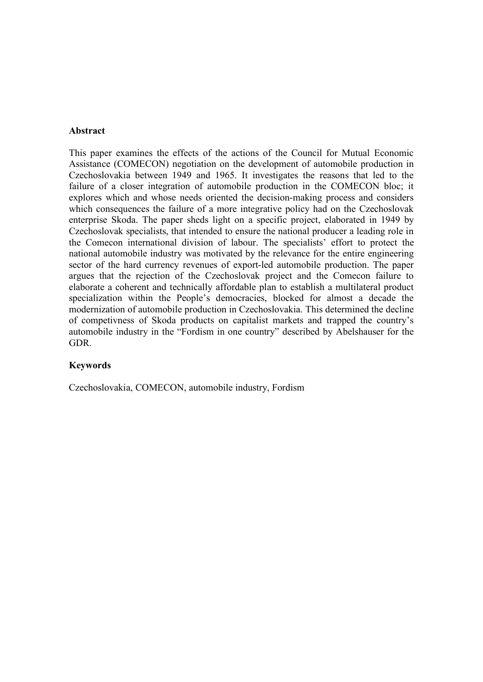#### **Abstract**

This paper examines the effects of the actions of the Council for Mutual Economic Assistance (COMECON) negotiation on the development of automobile production in Czechoslovakia between 1949 and 1965. It investigates the reasons that led to the failure of a closer integration of automobile production in the COMECON bloc; it explores which and whose needs oriented the decision-making process and considers which consequences the failure of a more integrative policy had on the Czechoslovak enterprise Skoda. The paper sheds light on a specific project, elaborated in 1949 by Czechoslovak specialists, that intended to ensure the national producer a leading role in the Comecon international division of labour. The specialists' effort to protect the national automobile industry was motivated by the relevance for the entire engineering sector of the hard currency revenues of export-led automobile production. The paper argues that the rejection of the Czechoslovak project and the Comecon failure to elaborate a coherent and technically affordable plan to establish a multilateral product specialization within the People's democracies, blocked for almost a decade the modernization of automobile production in Czechoslovakia. This determined the decline of competivness of Skoda products on capitalist markets and trapped the country's automobile industry in the "Fordism in one country" described by Abelshauser for the GDR.

#### **Keywords**

Czechoslovakia, COMECON, automobile industry, Fordism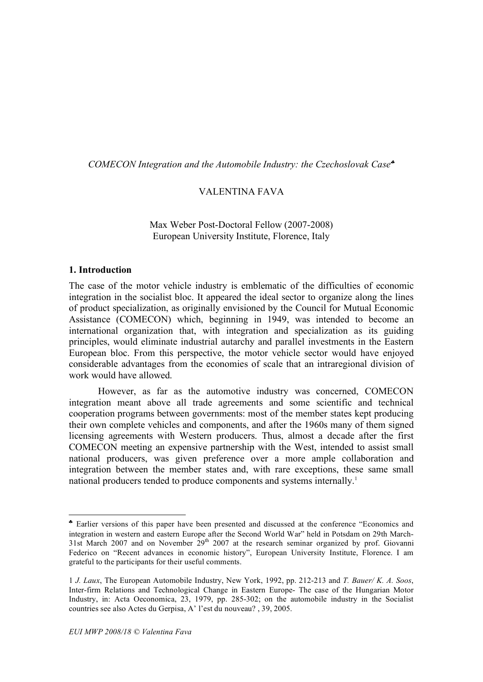*COMECON Integration and the Automobile Industry: the Czechoslovak Case*♣

## VALENTINA FAVA

#### Max Weber Post-Doctoral Fellow (2007-2008) European University Institute, Florence, Italy

#### **1. Introduction**

 $\overline{a}$ 

The case of the motor vehicle industry is emblematic of the difficulties of economic integration in the socialist bloc. It appeared the ideal sector to organize along the lines of product specialization, as originally envisioned by the Council for Mutual Economic Assistance (COMECON) which, beginning in 1949, was intended to become an international organization that, with integration and specialization as its guiding principles, would eliminate industrial autarchy and parallel investments in the Eastern European bloc. From this perspective, the motor vehicle sector would have enjoyed considerable advantages from the economies of scale that an intraregional division of work would have allowed.

However, as far as the automotive industry was concerned, COMECON integration meant above all trade agreements and some scientific and technical cooperation programs between governments: most of the member states kept producing their own complete vehicles and components, and after the 1960s many of them signed licensing agreements with Western producers. Thus, almost a decade after the first COMECON meeting an expensive partnership with the West, intended to assist small national producers, was given preference over a more ample collaboration and integration between the member states and, with rare exceptions, these same small national producers tended to produce components and systems internally.<sup>1</sup>

<sup>♣</sup> Earlier versions of this paper have been presented and discussed at the conference "Economics and integration in western and eastern Europe after the Second World War" held in Potsdam on 29th March-31st March 2007 and on November  $29<sup>th</sup> 2007$  at the research seminar organized by prof. Giovanni Federico on "Recent advances in economic history", European University Institute, Florence. I am grateful to the participants for their useful comments.

<sup>1</sup> *J. Laux*, The European Automobile Industry, New York, 1992, pp. 212-213 and *T. Bauer/ K. A. Soos*, Inter-firm Relations and Technological Change in Eastern Europe- The case of the Hungarian Motor Industry, in: Acta Oeconomica, 23, 1979, pp. 285-302; on the automobile industry in the Socialist countries see also Actes du Gerpisa, A' l'est du nouveau? , 39, 2005.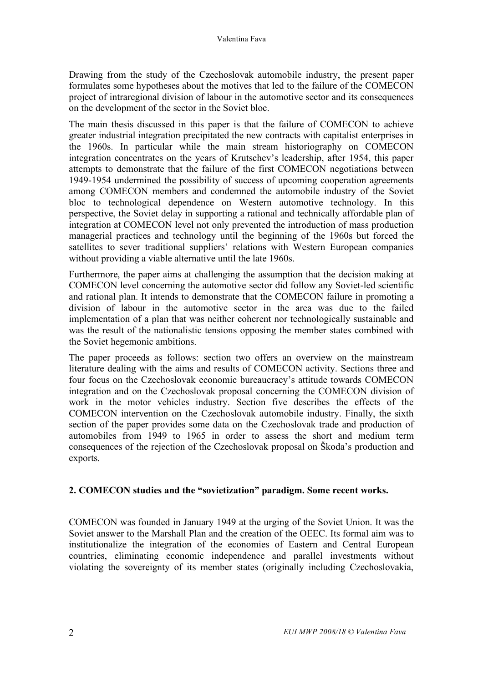Drawing from the study of the Czechoslovak automobile industry, the present paper formulates some hypotheses about the motives that led to the failure of the COMECON project of intraregional division of labour in the automotive sector and its consequences on the development of the sector in the Soviet bloc.

The main thesis discussed in this paper is that the failure of COMECON to achieve greater industrial integration precipitated the new contracts with capitalist enterprises in the 1960s. In particular while the main stream historiography on COMECON integration concentrates on the years of Krutschev's leadership, after 1954, this paper attempts to demonstrate that the failure of the first COMECON negotiations between 1949-1954 undermined the possibility of success of upcoming cooperation agreements among COMECON members and condemned the automobile industry of the Soviet bloc to technological dependence on Western automotive technology. In this perspective, the Soviet delay in supporting a rational and technically affordable plan of integration at COMECON level not only prevented the introduction of mass production managerial practices and technology until the beginning of the 1960s but forced the satellites to sever traditional suppliers' relations with Western European companies without providing a viable alternative until the late 1960s.

Furthermore, the paper aims at challenging the assumption that the decision making at COMECON level concerning the automotive sector did follow any Soviet-led scientific and rational plan. It intends to demonstrate that the COMECON failure in promoting a division of labour in the automotive sector in the area was due to the failed implementation of a plan that was neither coherent nor technologically sustainable and was the result of the nationalistic tensions opposing the member states combined with the Soviet hegemonic ambitions.

The paper proceeds as follows: section two offers an overview on the mainstream literature dealing with the aims and results of COMECON activity. Sections three and four focus on the Czechoslovak economic bureaucracy's attitude towards COMECON integration and on the Czechoslovak proposal concerning the COMECON division of work in the motor vehicles industry. Section five describes the effects of the COMECON intervention on the Czechoslovak automobile industry. Finally, the sixth section of the paper provides some data on the Czechoslovak trade and production of automobiles from 1949 to 1965 in order to assess the short and medium term consequences of the rejection of the Czechoslovak proposal on Škoda's production and exports.

#### **2. COMECON studies and the "sovietization" paradigm. Some recent works.**

COMECON was founded in January 1949 at the urging of the Soviet Union. It was the Soviet answer to the Marshall Plan and the creation of the OEEC. Its formal aim was to institutionalize the integration of the economies of Eastern and Central European countries, eliminating economic independence and parallel investments without violating the sovereignty of its member states (originally including Czechoslovakia,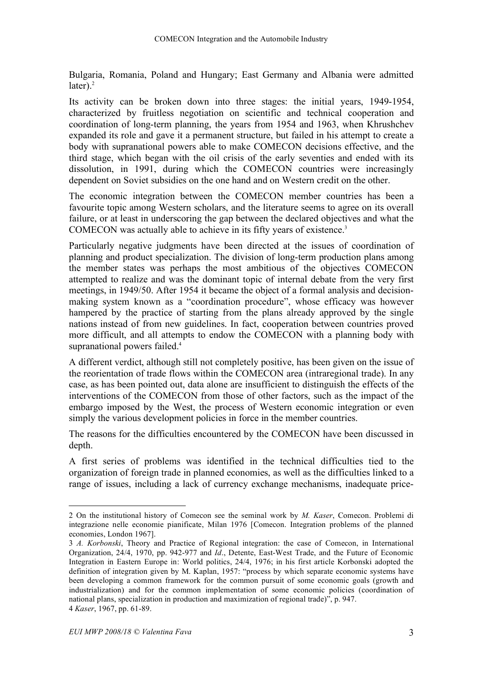Bulgaria, Romania, Poland and Hungary; East Germany and Albania were admitted later). 2

Its activity can be broken down into three stages: the initial years, 1949-1954, characterized by fruitless negotiation on scientific and technical cooperation and coordination of long-term planning, the years from 1954 and 1963, when Khrushchev expanded its role and gave it a permanent structure, but failed in his attempt to create a body with supranational powers able to make COMECON decisions effective, and the third stage, which began with the oil crisis of the early seventies and ended with its dissolution, in 1991, during which the COMECON countries were increasingly dependent on Soviet subsidies on the one hand and on Western credit on the other.

The economic integration between the COMECON member countries has been a favourite topic among Western scholars, and the literature seems to agree on its overall failure, or at least in underscoring the gap between the declared objectives and what the COMECON was actually able to achieve in its fifty years of existence. 3

Particularly negative judgments have been directed at the issues of coordination of planning and product specialization. The division of long-term production plans among the member states was perhaps the most ambitious of the objectives COMECON attempted to realize and was the dominant topic of internal debate from the very first meetings, in 1949/50. After 1954 it became the object of a formal analysis and decisionmaking system known as a "coordination procedure", whose efficacy was however hampered by the practice of starting from the plans already approved by the single nations instead of from new guidelines. In fact, cooperation between countries proved more difficult, and all attempts to endow the COMECON with a planning body with supranational powers failed.<sup>4</sup>

A different verdict, although still not completely positive, has been given on the issue of the reorientation of trade flows within the COMECON area (intraregional trade). In any case, as has been pointed out, data alone are insufficient to distinguish the effects of the interventions of the COMECON from those of other factors, such as the impact of the embargo imposed by the West, the process of Western economic integration or even simply the various development policies in force in the member countries.

The reasons for the difficulties encountered by the COMECON have been discussed in depth.

A first series of problems was identified in the technical difficulties tied to the organization of foreign trade in planned economies, as well as the difficulties linked to a range of issues, including a lack of currency exchange mechanisms, inadequate price-

 <sup>2</sup> On the institutional history of Comecon see the seminal work by *M. Kaser*, Comecon. Problemi di integrazione nelle economie pianificate, Milan 1976 [Comecon. Integration problems of the planned economies, London 1967].

<sup>3</sup> *A. Korbonski*, Theory and Practice of Regional integration: the case of Comecon, in International Organization, 24/4, 1970, pp. 942-977 and *Id*., Detente, East-West Trade, and the Future of Economic Integration in Eastern Europe in: World politics, 24/4, 1976; in his first article Korbonski adopted the definition of integration given by M. Kaplan, 1957: "process by which separate economic systems have been developing a common framework for the common pursuit of some economic goals (growth and industrialization) and for the common implementation of some economic policies (coordination of national plans, specialization in production and maximization of regional trade)", p. 947. 4 *Kaser*, 1967, pp. 61-89.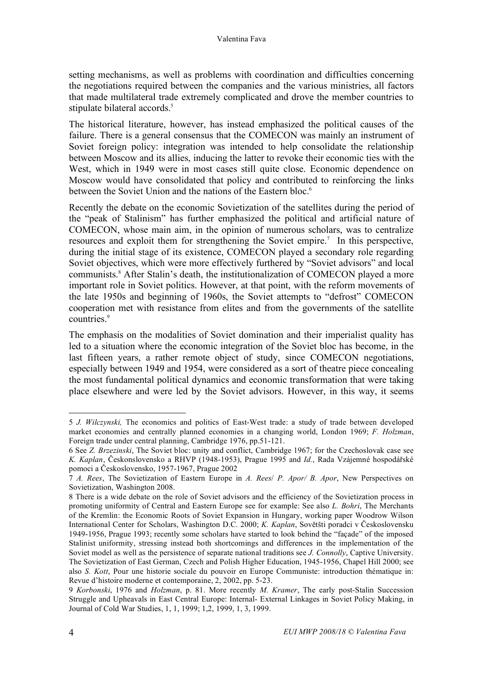setting mechanisms, as well as problems with coordination and difficulties concerning the negotiations required between the companies and the various ministries, all factors that made multilateral trade extremely complicated and drove the member countries to stipulate bilateral accords.<sup>5</sup>

The historical literature, however, has instead emphasized the political causes of the failure. There is a general consensus that the COMECON was mainly an instrument of Soviet foreign policy: integration was intended to help consolidate the relationship between Moscow and its allies, inducing the latter to revoke their economic ties with the West, which in 1949 were in most cases still quite close. Economic dependence on Moscow would have consolidated that policy and contributed to reinforcing the links between the Soviet Union and the nations of the Eastern bloc.<sup>6</sup>

Recently the debate on the economic Sovietization of the satellites during the period of the "peak of Stalinism" has further emphasized the political and artificial nature of COMECON, whose main aim, in the opinion of numerous scholars, was to centralize resources and exploit them for strengthening the Soviet empire. <sup>7</sup> In this perspective, during the initial stage of its existence, COMECON played a secondary role regarding Soviet objectives, which were more effectively furthered by "Soviet advisors" and local communists. <sup>8</sup> After Stalin's death, the institutionalization of COMECON played a more important role in Soviet politics. However, at that point, with the reform movements of the late 1950s and beginning of 1960s, the Soviet attempts to "defrost" COMECON cooperation met with resistance from elites and from the governments of the satellite countries. 9

The emphasis on the modalities of Soviet domination and their imperialist quality has led to a situation where the economic integration of the Soviet bloc has become, in the last fifteen years, a rather remote object of study, since COMECON negotiations, especially between 1949 and 1954, were considered as a sort of theatre piece concealing the most fundamental political dynamics and economic transformation that were taking place elsewhere and were led by the Soviet advisors. However, in this way, it seems

 <sup>5</sup> *J. Wilczynski,* The economics and politics of East-West trade: <sup>a</sup> study of trade between developed market economies and centrally planned economies in a changing world, London 1969; *F. Holzman*, Foreign trade under central planning, Cambridge 1976, pp.51-121.

<sup>6</sup> See *Z. Brzezinski*, The Soviet bloc: unity and conflict, Cambridge 1967; for the Czechoslovak case see *K. Kaplan*, Českonslovensko a RHVP (1948-1953), Prague 1995 and *Id.*, Rada Vzájemné hospodářské pomoci a Československo, 1957-1967, Prague 2002

<sup>7</sup> *A. Rees*, The Sovietization of Eastern Europe in *A. Rees*/ *P. Apor/ B. Apor*, New Perspectives on Sovietization, Washington 2008.

<sup>8</sup> There is a wide debate on the role of Soviet advisors and the efficiency of the Sovietization process in promoting uniformity of Central and Eastern Europe see for example: See also *L. Bohri*, The Merchants of the Kremlin: the Economic Roots of Soviet Expansion in Hungary, working paper Woodrow Wilson International Center for Scholars, Washington D.C. 2000; *K. Kaplan*, Sovětšti poradci v Československu 1949-1956, Prague 1993; recently some scholars have started to look behind the "façade" of the imposed Stalinist uniformity, stressing instead both shortcomings and differences in the implementation of the Soviet model as well as the persistence of separate national traditions see *J. Connolly*, Captive University. The Sovietization of East German, Czech and Polish Higher Education, 1945-1956, Chapel Hill 2000; see also *S. Kott*, Pour une historie sociale du pouvoir en Europe Communiste: introduction thématique in: Revue d'histoire moderne et contemporaine, 2, 2002, pp. 5-23.

<sup>9</sup> *Korbonski*, 1976 and *Holzman*, p. 81. More recently *M. Kramer*, The early post-Stalin Succession Struggle and Upheavals in East Central Europe: Internal- External Linkages in Soviet Policy Making, in Journal of Cold War Studies, 1, 1, 1999; 1,2, 1999, 1, 3, 1999.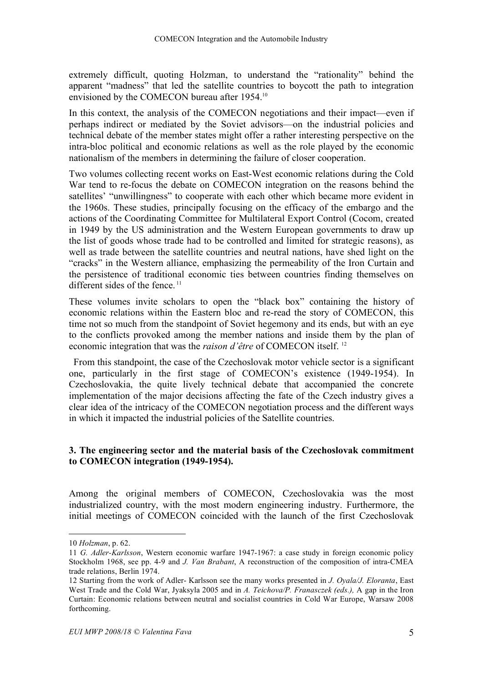extremely difficult, quoting Holzman, to understand the "rationality" behind the apparent "madness" that led the satellite countries to boycott the path to integration envisioned by the COMECON bureau after 1954.10

In this context, the analysis of the COMECON negotiations and their impact—even if perhaps indirect or mediated by the Soviet advisors—on the industrial policies and technical debate of the member states might offer a rather interesting perspective on the intra-bloc political and economic relations as well as the role played by the economic nationalism of the members in determining the failure of closer cooperation.

Two volumes collecting recent works on East-West economic relations during the Cold War tend to re-focus the debate on COMECON integration on the reasons behind the satellites' "unwillingness" to cooperate with each other which became more evident in the 1960s. These studies, principally focusing on the efficacy of the embargo and the actions of the Coordinating Committee for Multilateral Export Control (Cocom, created in 1949 by the US administration and the Western European governments to draw up the list of goods whose trade had to be controlled and limited for strategic reasons), as well as trade between the satellite countries and neutral nations, have shed light on the "cracks" in the Western alliance, emphasizing the permeability of the Iron Curtain and the persistence of traditional economic ties between countries finding themselves on different sides of the fence.<sup>11</sup>

These volumes invite scholars to open the "black box" containing the history of economic relations within the Eastern bloc and re-read the story of COMECON, this time not so much from the standpoint of Soviet hegemony and its ends, but with an eye to the conflicts provoked among the member nations and inside them by the plan of economic integration that was the *raison d'être* of COMECON itself. <sup>12</sup>

From this standpoint, the case of the Czechoslovak motor vehicle sector is a significant one, particularly in the first stage of COMECON's existence (1949-1954). In Czechoslovakia, the quite lively technical debate that accompanied the concrete implementation of the major decisions affecting the fate of the Czech industry gives a clear idea of the intricacy of the COMECON negotiation process and the different ways in which it impacted the industrial policies of the Satellite countries.

#### **3. The engineering sector and the material basis of the Czechoslovak commitment to COMECON integration (1949-1954).**

Among the original members of COMECON, Czechoslovakia was the most industrialized country, with the most modern engineering industry. Furthermore, the initial meetings of COMECON coincided with the launch of the first Czechoslovak

 $\overline{a}$ 

<sup>10</sup> *Holzman*, p. 62.

<sup>11</sup> *G. Adler-Karlsson*, Western economic warfare 1947-1967: a case study in foreign economic policy Stockholm 1968, see pp. 4-9 and *J. Van Brabant*, A reconstruction of the composition of intra-CMEA trade relations, Berlin 1974.

<sup>12</sup> Starting from the work of Adler- Karlsson see the many works presented in *J. Oyala/J. Eloranta*, East West Trade and the Cold War, Jyaksyla 2005 and in *A. Teichova/P. Franasczek (eds.),* A gap in the Iron Curtain: Economic relations between neutral and socialist countries in Cold War Europe, Warsaw 2008 forthcoming.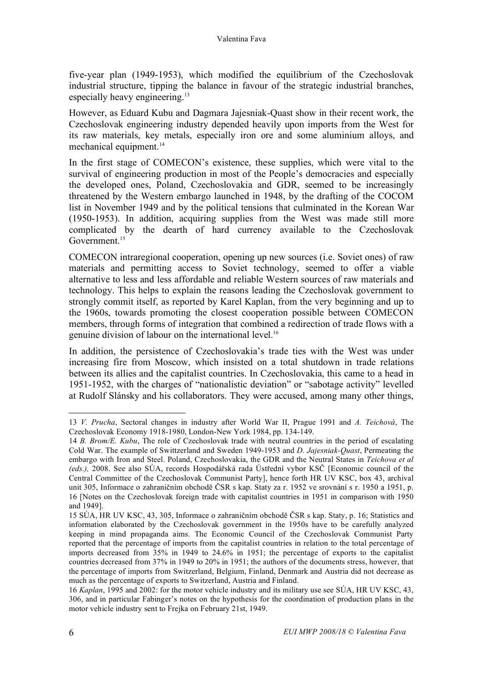five-year plan (1949-1953), which modified the equilibrium of the Czechoslovak industrial structure, tipping the balance in favour of the strategic industrial branches, especially heavy engineering.<sup>13</sup>

However, as Eduard Kubu and Dagmara Jajesniak-Quast show in their recent work, the Czechoslovak engineering industry depended heavily upon imports from the West for its raw materials, key metals, especially iron ore and some aluminium alloys, and mechanical equipment. 14

In the first stage of COMECON's existence, these supplies, which were vital to the survival of engineering production in most of the People's democracies and especially the developed ones, Poland, Czechoslovakia and GDR, seemed to be increasingly threatened by the Western embargo launched in 1948, by the drafting of the COCOM list in November 1949 and by the political tensions that culminated in the Korean War (1950-1953). In addition, acquiring supplies from the West was made still more complicated by the dearth of hard currency available to the Czechoslovak Government. 15

COMECON intraregional cooperation, opening up new sources (i.e. Soviet ones) of raw materials and permitting access to Soviet technology, seemed to offer a viable alternative to less and less affordable and reliable Western sources of raw materials and technology. This helps to explain the reasons leading the Czechoslovak government to strongly commit itself, as reported by Karel Kaplan, from the very beginning and up to the 1960s, towards promoting the closest cooperation possible between COMECON members, through forms of integration that combined a redirection of trade flows with a genuine division of labour on the international level.<sup>16</sup>

In addition, the persistence of Czechoslovakia's trade ties with the West was under increasing fire from Moscow, which insisted on a total shutdown in trade relations between its allies and the capitalist countries. In Czechoslovakia, this came to a head in 1951-1952, with the charges of "nationalistic deviation" or "sabotage activity" levelled at Rudolf Slánsky and his collaborators. They were accused, among many other things,

 <sup>13</sup> *V. Prucha*, Sectoral changes in industry after World War II, Prague <sup>1991</sup> and *A. Teichová*, The Czechoslovak Economy 1918-1980, London-New York 1984, pp. 134-149.

<sup>14</sup> *B. Brom/E. Kubu*, The role of Czechoslovak trade with neutral countries in the period of escalating Cold War. The example of Swittzerland and Sweden 1949-1953 and *D. Jajesniak-Quast*, Permeating the embargo with Iron and Steel. Poland, Czechoslovakia, the GDR and the Neutral States in *Teichova et al (eds.),* 2008. See also SÚA, records Hospodářská rada Ústřední vybor KSČ [Economic council of the Central Committee of the Czechoslovak Communist Party], hence forth HR UV KSC, box 43, archival unit 305, Informace o zahraničním obchodĕ ČSR s kap. Staty za r. 1952 ve srovnání s r. 1950 a 1951, p. 16 [Notes on the Czechoslovak foreign trade with capitalist countries in 1951 in comparison with 1950 and 1949].

<sup>15</sup> SÚA, HR UV KSC, 43, 305, Informace o zahraničním obchodĕ ČSR s kap. Staty, p. 16; Statistics and information elaborated by the Czechoslovak government in the 1950s have to be carefully analyzed keeping in mind propaganda aims. The Economic Council of the Czechoslovak Communist Party reported that the percentage of imports from the capitalist countries in relation to the total percentage of imports decreased from 35% in 1949 to 24.6% in 1951; the percentage of exports to the capitalist countries decreased from 37% in 1949 to 20% in 1951; the authors of the documents stress, however, that the percentage of imports from Switzerland, Belgium, Finland, Denmark and Austria did not decrease as much as the percentage of exports to Switzerland, Austria and Finland.

<sup>16</sup> *Kaplan*, 1995 and 2002: for the motor vehicle industry and its military use see SÚA, HR UV KSC, 43, 306, and in particular Fabinger's notes on the hypothesis for the coordination of production plans in the motor vehicle industry sent to Frejka on February 21st, 1949.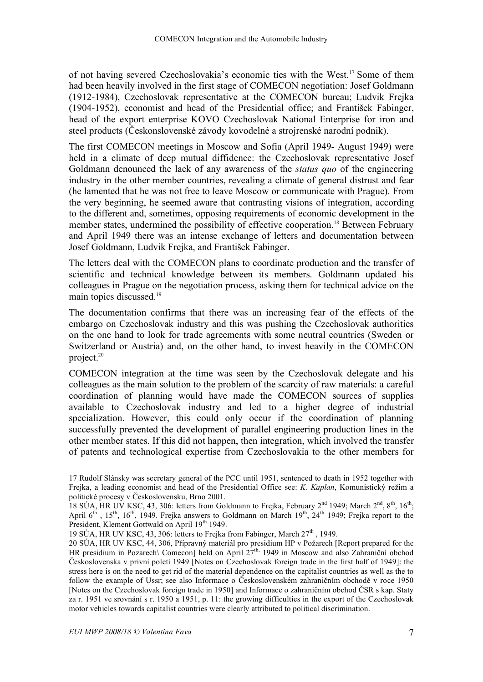of not having severed Czechoslovakia's economic ties with the West. <sup>17</sup> Some of them had been heavily involved in the first stage of COMECON negotiation: Josef Goldmann (1912-1984), Czechoslovak representative at the COMECON bureau; Ludvik Frejka (1904-1952), economist and head of the Presidential office; and František Fabinger, head of the export enterprise KOVO Czechoslovak National Enterprise for iron and steel products (Českonslovenské závody kovodelné a strojrenské narodní podnik).

The first COMECON meetings in Moscow and Sofia (April 1949- August 1949) were held in a climate of deep mutual diffidence: the Czechoslovak representative Josef Goldmann denounced the lack of any awareness of the *status quo* of the engineering industry in the other member countries, revealing a climate of general distrust and fear (he lamented that he was not free to leave Moscow or communicate with Prague). From the very beginning, he seemed aware that contrasting visions of integration, according to the different and, sometimes, opposing requirements of economic development in the member states, undermined the possibility of effective cooperation.<sup>18</sup> Between February and April 1949 there was an intense exchange of letters and documentation between Josef Goldmann, Ludvik Frejka, and František Fabinger.

The letters deal with the COMECON plans to coordinate production and the transfer of scientific and technical knowledge between its members. Goldmann updated his colleagues in Prague on the negotiation process, asking them for technical advice on the main topics discussed.<sup>19</sup>

The documentation confirms that there was an increasing fear of the effects of the embargo on Czechoslovak industry and this was pushing the Czechoslovak authorities on the one hand to look for trade agreements with some neutral countries (Sweden or Switzerland or Austria) and, on the other hand, to invest heavily in the COMECON project. 20

COMECON integration at the time was seen by the Czechoslovak delegate and his colleagues as the main solution to the problem of the scarcity of raw materials: a careful coordination of planning would have made the COMECON sources of supplies available to Czechoslovak industry and led to a higher degree of industrial specialization. However, this could only occur if the coordination of planning successfully prevented the development of parallel engineering production lines in the other member states. If this did not happen, then integration, which involved the transfer of patents and technological expertise from Czechoslovakia to the other members for

 <sup>17</sup> Rudolf Slánsky was secretary general of the PCC until 1951, sentenced to death in <sup>1952</sup> together with Frejka, a leading economist and head of the Presidential Office see: *K. Kaplan*, Komunistický režim a politické procesy v Československu, Brno 2001.

<sup>18</sup> SÚA, HR UV KSC, 43, 306: letters from Goldmann to Frejka, February 2<sup>nd</sup> 1949; March 2<sup>nd</sup>, 8<sup>th</sup>, 16<sup>th</sup>; April  $6<sup>th</sup>$ ,  $15<sup>th</sup>$ ,  $16<sup>th</sup>$ , 1949. Frejka answers to Goldmann on March  $19<sup>th</sup>$ ,  $24<sup>th</sup>$  1949; Frejka report to the President, Klement Gottwald on April 19th 1949.

<sup>19</sup> SÚA, HR UV KSC, 43, 306: letters to Frejka from Fabinger, March  $27<sup>th</sup>$ , 1949.

<sup>20</sup> SÚA, HR UV KSC, 44, 306, Přípravný materiál pro presidium HP v Požarech [Report prepared for the HR presidium in Pozarech\ Comecon] held on April 27<sup>th,</sup> 1949 in Moscow and also Zahraniční obchod Československa v privní poletí 1949 [Notes on Czechoslovak foreign trade in the first half of 1949]: the stress here is on the need to get rid of the material dependence on the capitalist countries as well as the to follow the example of Ussr; see also Informace o Československém zahraničním obchodĕ v roce 1950 [Notes on the Czechoslovak foreign trade in 1950] and Informace o zahraničním obchod ČSR s kap. Staty za r. 1951 ve srovnání s r. 1950 a 1951, p. 11: the growing difficulties in the export of the Czechoslovak motor vehicles towards capitalist countries were clearly attributed to political discrimination.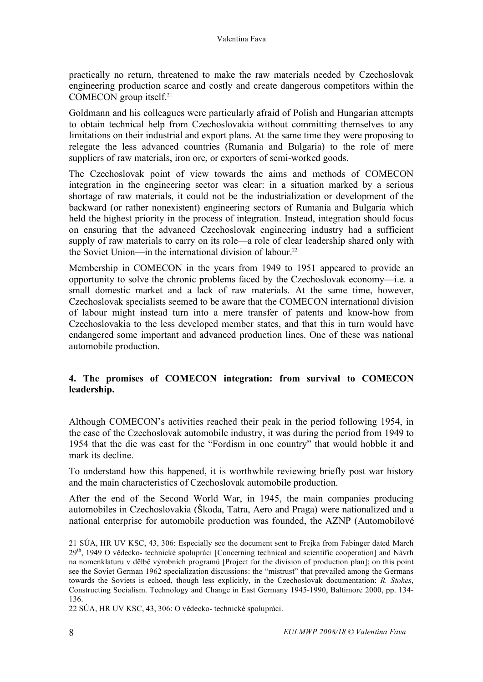practically no return, threatened to make the raw materials needed by Czechoslovak engineering production scarce and costly and create dangerous competitors within the COMECON group itself. 21

Goldmann and his colleagues were particularly afraid of Polish and Hungarian attempts to obtain technical help from Czechoslovakia without committing themselves to any limitations on their industrial and export plans. At the same time they were proposing to relegate the less advanced countries (Rumania and Bulgaria) to the role of mere suppliers of raw materials, iron ore, or exporters of semi-worked goods.

The Czechoslovak point of view towards the aims and methods of COMECON integration in the engineering sector was clear: in a situation marked by a serious shortage of raw materials, it could not be the industrialization or development of the backward (or rather nonexistent) engineering sectors of Rumania and Bulgaria which held the highest priority in the process of integration. Instead, integration should focus on ensuring that the advanced Czechoslovak engineering industry had a sufficient supply of raw materials to carry on its role—a role of clear leadership shared only with the Soviet Union—in the international division of labour.<sup>22</sup>

Membership in COMECON in the years from 1949 to 1951 appeared to provide an opportunity to solve the chronic problems faced by the Czechoslovak economy—i.e. a small domestic market and a lack of raw materials. At the same time, however, Czechoslovak specialists seemed to be aware that the COMECON international division of labour might instead turn into a mere transfer of patents and know-how from Czechoslovakia to the less developed member states, and that this in turn would have endangered some important and advanced production lines. One of these was national automobile production.

#### **4. The promises of COMECON integration: from survival to COMECON leadership.**

Although COMECON's activities reached their peak in the period following 1954, in the case of the Czechoslovak automobile industry, it was during the period from 1949 to 1954 that the die was cast for the "Fordism in one country" that would hobble it and mark its decline.

To understand how this happened, it is worthwhile reviewing briefly post war history and the main characteristics of Czechoslovak automobile production.

After the end of the Second World War, in 1945, the main companies producing automobiles in Czechoslovakia (Škoda, Tatra, Aero and Praga) were nationalized and a national enterprise for automobile production was founded, the AZNP (Automobilové

 $\overline{a}$ 

<sup>21</sup> SÚA, HR UV KSC, 43, 306: Especially see the document sent to Frejka from Fabinger dated March 29<sup>th</sup>, 1949 O vědecko- technické spolupráci [Concerning technical and scientific cooperation] and Návrh na nomenklaturu v dělbě výrobních programů [Project for the division of production plan]; on this point see the Soviet German 1962 specialization discussions: the "mistrust" that prevailed among the Germans towards the Soviets is echoed, though less explicitly, in the Czechoslovak documentation: *R. Stokes*, Constructing Socialism. Technology and Change in East Germany 1945-1990, Baltimore 2000, pp. 134- 136.

<sup>22</sup> SÚA, HR UV KSC, 43, 306: O vědecko- technické spolupráci.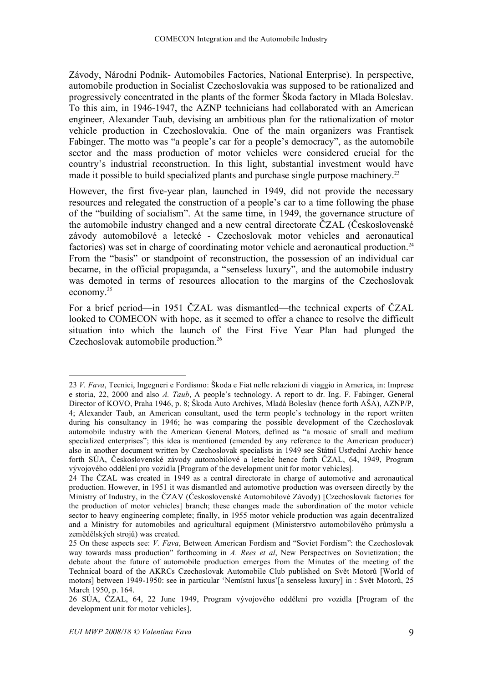Závody, Národní Podnik- Automobiles Factories, National Enterprise). In perspective, automobile production in Socialist Czechoslovakia was supposed to be rationalized and progressively concentrated in the plants of the former Škoda factory in Mlada Boleslav. To this aim, in 1946-1947, the AZNP technicians had collaborated with an American engineer, Alexander Taub, devising an ambitious plan for the rationalization of motor vehicle production in Czechoslovakia. One of the main organizers was Frantisek Fabinger. The motto was "a people's car for a people's democracy", as the automobile sector and the mass production of motor vehicles were considered crucial for the country's industrial reconstruction. In this light, substantial investment would have made it possible to build specialized plants and purchase single purpose machinery.<sup>23</sup>

However, the first five-year plan, launched in 1949, did not provide the necessary resources and relegated the construction of a people's car to a time following the phase of the "building of socialism". At the same time, in 1949, the governance structure of the automobile industry changed and a new central directorate ČZAL (Československé závody automobilové a letecké - Czechoslovak motor vehicles and aeronautical factories) was set in charge of coordinating motor vehicle and aeronautical production.<sup>24</sup> From the "basis" or standpoint of reconstruction, the possession of an individual car became, in the official propaganda, a "senseless luxury", and the automobile industry was demoted in terms of resources allocation to the margins of the Czechoslovak economy.25

For a brief period—in 1951 ČZAL was dismantled—the technical experts of ČZAL looked to COMECON with hope, as it seemed to offer a chance to resolve the difficult situation into which the launch of the First Five Year Plan had plunged the Czechoslovak automobile production.<sup>26</sup>

 <sup>23</sup> *V. Fava*, Tecnici, Ingegneri <sup>e</sup> Fordismo: <sup>Š</sup>koda <sup>e</sup> Fiat nelle relazioni di viaggio in America, in: Imprese e storia, 22, 2000 and also *A. Taub*, A people's technology. A report to dr. Ing. F. Fabinger, General Director of KOVO, Praha 1946, p. 8; Škoda Auto Archives, Mladà Boleslav (hence forth AŠA), AZNP/P, 4; Alexander Taub, an American consultant, used the term people's technology in the report written during his consultancy in 1946; he was comparing the possible development of the Czechoslovak automobile industry with the American General Motors, defined as "a mosaic of small and medium specialized enterprises"; this idea is mentioned (emended by any reference to the American producer) also in another document written by Czechoslovak specialists in 1949 see Státní Ustřední Archiv hence forth SÚA, Československé závody automobilové a letecké hence forth ČZAL, 64, 1949, Program vývojového oddělení pro vozidla [Program of the development unit for motor vehicles].

<sup>24</sup> The ČZAL was created in 1949 as a central directorate in charge of automotive and aeronautical production. However, in 1951 it was dismantled and automotive production was overseen directly by the Ministry of Industry, in the ČZAV (Československé Automobilové Závody) [Czechoslovak factories for the production of motor vehicles] branch; these changes made the subordination of the motor vehicle sector to heavy engineering complete; finally, in 1955 motor vehicle production was again decentralized and a Ministry for automobiles and agricultural equipment (Ministerstvo automobilového průmyslu a zemědělských strojů) was created.

<sup>25</sup> On these aspects see: *V. Fava*, Between American Fordism and "Soviet Fordism": the Czechoslovak way towards mass production" forthcoming in *A. Rees et al*, New Perspectives on Sovietization; the debate about the future of automobile production emerges from the Minutes of the meeting of the Technical board of the AKRCs Czechoslovak Automobile Club published on Svět Motorů [World of motors] between 1949-1950: see in particular 'Nemístní luxus'[a senseless luxury] in : Svět Motorů, 25 March 1950, p. 164.

<sup>26</sup> SÚA, ČZAL, 64, 22 June 1949, Program vývojového oddělení pro vozidla [Program of the development unit for motor vehicles].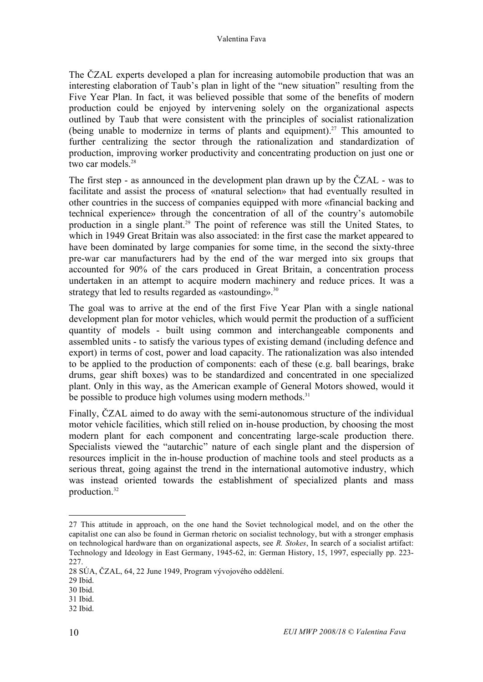The ČZAL experts developed a plan for increasing automobile production that was an interesting elaboration of Taub's plan in light of the "new situation" resulting from the Five Year Plan. In fact, it was believed possible that some of the benefits of modern production could be enjoyed by intervening solely on the organizational aspects outlined by Taub that were consistent with the principles of socialist rationalization (being unable to modernize in terms of plants and equipment). <sup>27</sup> This amounted to further centralizing the sector through the rationalization and standardization of production, improving worker productivity and concentrating production on just one or two car models. 28

The first step - as announced in the development plan drawn up by the ČZAL - was to facilitate and assist the process of «natural selection» that had eventually resulted in other countries in the success of companies equipped with more «financial backing and technical experience» through the concentration of all of the country's automobile production in a single plant. <sup>29</sup> The point of reference was still the United States, to which in 1949 Great Britain was also associated: in the first case the market appeared to have been dominated by large companies for some time, in the second the sixty-three pre-war car manufacturers had by the end of the war merged into six groups that accounted for 90% of the cars produced in Great Britain, a concentration process undertaken in an attempt to acquire modern machinery and reduce prices. It was a strategy that led to results regarded as «astounding». $30$ 

The goal was to arrive at the end of the first Five Year Plan with a single national development plan for motor vehicles, which would permit the production of a sufficient quantity of models - built using common and interchangeable components and assembled units - to satisfy the various types of existing demand (including defence and export) in terms of cost, power and load capacity. The rationalization was also intended to be applied to the production of components: each of these (e.g. ball bearings, brake drums, gear shift boxes) was to be standardized and concentrated in one specialized plant. Only in this way, as the American example of General Motors showed, would it be possible to produce high volumes using modern methods.<sup>31</sup>

Finally, ČZAL aimed to do away with the semi-autonomous structure of the individual motor vehicle facilities, which still relied on in-house production, by choosing the most modern plant for each component and concentrating large-scale production there. Specialists viewed the "autarchic" nature of each single plant and the dispersion of resources implicit in the in-house production of machine tools and steel products as a serious threat, going against the trend in the international automotive industry, which was instead oriented towards the establishment of specialized plants and mass production.32

 $\overline{a}$ 

<sup>27</sup> This attitude in approach, on the one hand the Soviet technological model, and on the other the capitalist one can also be found in German rhetoric on socialist technology, but with a stronger emphasis on technological hardware than on organizational aspects, see *R. Stokes*, In search of a socialist artifact: Technology and Ideology in East Germany, 1945-62, in: German History, 15, 1997, especially pp. 223- 227.

<sup>28</sup> SÚA, ČZAL, 64, 22 June 1949, Program vývojového oddělení.

<sup>29</sup> Ibid.

<sup>30</sup> Ibid.

<sup>31</sup> Ibid.

<sup>32</sup> Ibid.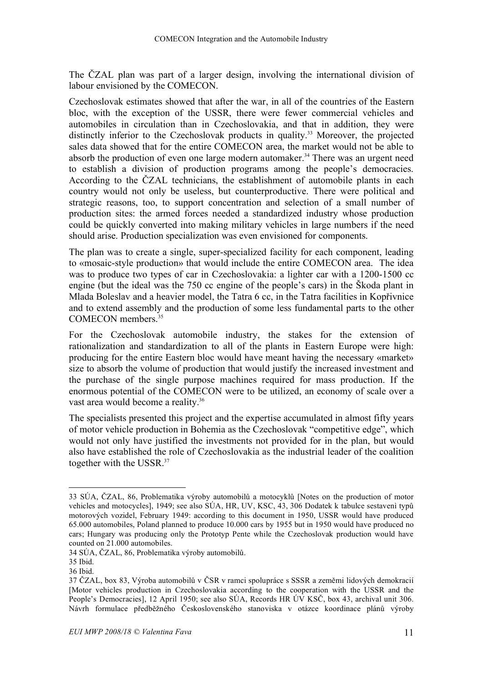The ČZAL plan was part of a larger design, involving the international division of labour envisioned by the COMECON.

Czechoslovak estimates showed that after the war, in all of the countries of the Eastern bloc, with the exception of the USSR, there were fewer commercial vehicles and automobiles in circulation than in Czechoslovakia, and that in addition, they were distinctly inferior to the Czechoslovak products in quality.<sup>33</sup> Moreover, the projected sales data showed that for the entire COMECON area, the market would not be able to absorb the production of even one large modern automaker. <sup>34</sup> There was an urgent need to establish a division of production programs among the people's democracies. According to the ČZAL technicians, the establishment of automobile plants in each country would not only be useless, but counterproductive. There were political and strategic reasons, too, to support concentration and selection of a small number of production sites: the armed forces needed a standardized industry whose production could be quickly converted into making military vehicles in large numbers if the need should arise. Production specialization was even envisioned for components.

The plan was to create a single, super-specialized facility for each component, leading to «mosaic-style production» that would include the entire COMECON area. The idea was to produce two types of car in Czechoslovakia: a lighter car with a 1200-1500 cc engine (but the ideal was the 750 cc engine of the people's cars) in the Škoda plant in Mlada Boleslav and a heavier model, the Tatra 6 cc, in the Tatra facilities in Kopřivnice and to extend assembly and the production of some less fundamental parts to the other COMECON members. 35

For the Czechoslovak automobile industry, the stakes for the extension of rationalization and standardization to all of the plants in Eastern Europe were high: producing for the entire Eastern bloc would have meant having the necessary «market» size to absorb the volume of production that would justify the increased investment and the purchase of the single purpose machines required for mass production. If the enormous potential of the COMECON were to be utilized, an economy of scale over a vast area would become a reality.<sup>36</sup>

The specialists presented this project and the expertise accumulated in almost fifty years of motor vehicle production in Bohemia as the Czechoslovak "competitive edge", which would not only have justified the investments not provided for in the plan, but would also have established the role of Czechoslovakia as the industrial leader of the coalition together with the USSR. 37

 <sup>33</sup> SÚA, <sup>Č</sup>ZAL, 86, Problematika <sup>v</sup>ýroby automobil<sup>ů</sup> <sup>a</sup> motocykl<sup>ů</sup> [Notes on the production of motor vehicles and motocycles], 1949; see also SÚA, HR, UV, KSC, 43, 306 Dodatek k tabulce sestavenì typů motorových vozidel, February 1949: according to this document in 1950, USSR would have produced 65.000 automobiles, Poland planned to produce 10.000 cars by 1955 but in 1950 would have produced no cars; Hungary was producing only the Prototyp Pente while the Czechoslovak production would have counted on 21.000 automobiles.

<sup>34</sup> SÚA, ČZAL, 86, Problematika výroby automobilů.

<sup>35</sup> Ibid.

<sup>36</sup> Ibid.

<sup>37</sup> ČZAL, box 83, Výroba automobilů v ČSR v ramci spolupráce s SSSR a zeměmi lidových demokracií [Motor vehicles production in Czechoslovakia according to the cooperation with the USSR and the People's Democracies], 12 April 1950; see also SÚA, Records HR ÚV KSČ, box 43, archival unit 306. Návrh formulace předběžného Československého stanoviska v otázce koordinace plánů výroby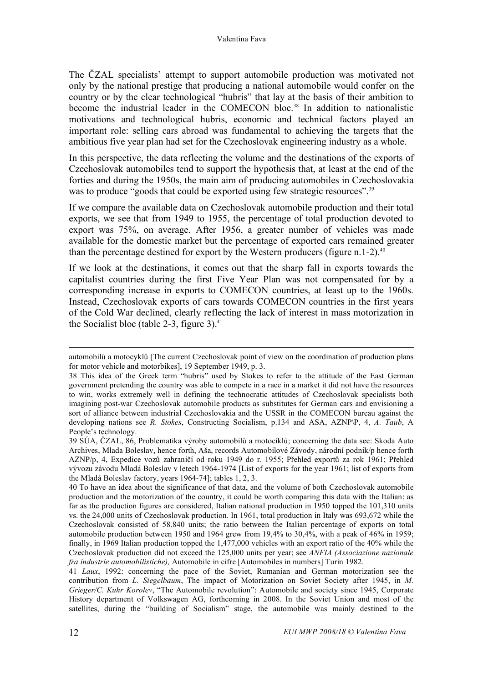The ČZAL specialists' attempt to support automobile production was motivated not only by the national prestige that producing a national automobile would confer on the country or by the clear technological "hubris" that lay at the basis of their ambition to become the industrial leader in the COMECON bloc. <sup>38</sup> In addition to nationalistic motivations and technological hubris, economic and technical factors played an important role: selling cars abroad was fundamental to achieving the targets that the ambitious five year plan had set for the Czechoslovak engineering industry as a whole.

In this perspective, the data reflecting the volume and the destinations of the exports of Czechoslovak automobiles tend to support the hypothesis that, at least at the end of the forties and during the 1950s, the main aim of producing automobiles in Czechoslovakia was to produce "goods that could be exported using few strategic resources".<sup>39</sup>

If we compare the available data on Czechoslovak automobile production and their total exports, we see that from 1949 to 1955, the percentage of total production devoted to export was 75%, on average. After 1956, a greater number of vehicles was made available for the domestic market but the percentage of exported cars remained greater than the percentage destined for export by the Western producers (figure n.1-2).<sup>40</sup>

If we look at the destinations, it comes out that the sharp fall in exports towards the capitalist countries during the first Five Year Plan was not compensated for by a corresponding increase in exports to COMECON countries, at least up to the 1960s. Instead, Czechoslovak exports of cars towards COMECON countries in the first years of the Cold War declined, clearly reflecting the lack of interest in mass motorization in the Socialist bloc (table 2-3, figure 3). $41$ 

automobil<sup>ů</sup> <sup>a</sup> motocykl<sup>ů</sup> [The current Czechoslovak point of view on the coordination of production plans for motor vehicle and motorbikes], 19 September 1949, p. 3.

<sup>38</sup> This idea of the Greek term "hubris" used by Stokes to refer to the attitude of the East German government pretending the country was able to compete in a race in a market it did not have the resources to win, works extremely well in defining the technocratic attitudes of Czechoslovak specialists both imagining post-war Czechoslovak automobile products as substitutes for German cars and envisioning a sort of alliance between industrial Czechoslovakia and the USSR in the COMECON bureau against the developing nations see *R. Stokes*, Constructing Socialism, p.134 and ASA, AZNP\P, 4, *A. Taub*, A People's technology.

<sup>39</sup> SÚA, ČZAL, 86, Problematika výroby automobilů a motociklů; concerning the data see: Skoda Auto Archives, Mlada Boleslav, hence forth, Aša, records Automobilové Závody, národní podnik/p hence forth AZNP/p, 4, Expedice vozů zahraničí od roku 1949 do r. 1955; Přehled exportů za rok 1961; Přehled vývozu závodu Mladá Boleslav v letech 1964-1974 [List of exports for the year 1961; list of exports from the Mladá Boleslav factory, years 1964-74]; tables 1, 2, 3.

<sup>40</sup> To have an idea about the significance of that data, and the volume of both Czechoslovak automobile production and the motorization of the country, it could be worth comparing this data with the Italian: as far as the production figures are considered, Italian national production in 1950 topped the 101,310 units vs. the 24,000 units of Czechoslovak production. In 1961, total production in Italy was 693,672 while the Czechoslovak consisted of 58.840 units; the ratio between the Italian percentage of exports on total automobile production between 1950 and 1964 grew from 19,4% to 30,4%, with a peak of 46% in 1959; finally, in 1969 Italian production topped the 1,477,000 vehicles with an export ratio of the 40% while the Czechoslovak production did not exceed the 125,000 units per year; see *ANFIA (Associazione nazionale fra industrie automobilistiche),* Automobile in cifre [Automobiles in numbers] Turin 1982.

<sup>41</sup> *Laux*, 1992: concerning the pace of the Soviet, Rumanian and German motorization see the contribution from *L. Siegelbaum*, The impact of Motorization on Soviet Society after 1945, in *M. Grieger/C. Kuhr Korolev*, "The Automobile revolution": Automobile and society since 1945, Corporate History department of Volkswagen AG, forthcoming in 2008. In the Soviet Union and most of the satellites, during the "building of Socialism" stage, the automobile was mainly destined to the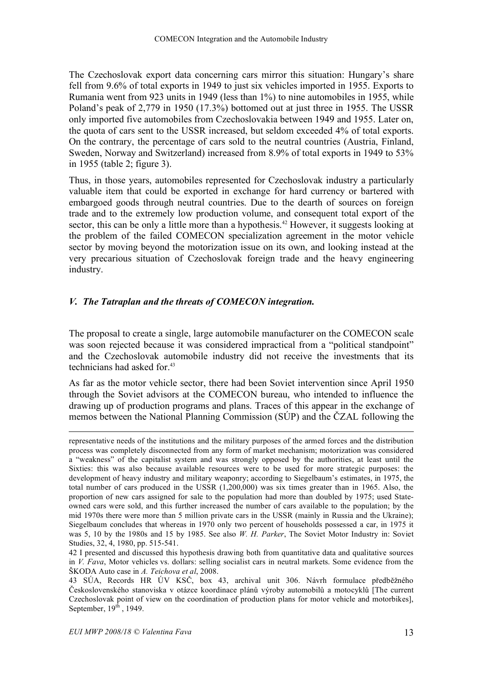The Czechoslovak export data concerning cars mirror this situation: Hungary's share fell from 9.6% of total exports in 1949 to just six vehicles imported in 1955. Exports to Rumania went from 923 units in 1949 (less than 1%) to nine automobiles in 1955, while Poland's peak of 2,779 in 1950 (17.3%) bottomed out at just three in 1955. The USSR only imported five automobiles from Czechoslovakia between 1949 and 1955. Later on, the quota of cars sent to the USSR increased, but seldom exceeded 4% of total exports. On the contrary, the percentage of cars sold to the neutral countries (Austria, Finland, Sweden, Norway and Switzerland) increased from 8.9% of total exports in 1949 to 53% in 1955 (table 2; figure 3).

Thus, in those years, automobiles represented for Czechoslovak industry a particularly valuable item that could be exported in exchange for hard currency or bartered with embargoed goods through neutral countries. Due to the dearth of sources on foreign trade and to the extremely low production volume, and consequent total export of the sector, this can be only a little more than a hypothesis.<sup>42</sup> However, it suggests looking at the problem of the failed COMECON specialization agreement in the motor vehicle sector by moving beyond the motorization issue on its own, and looking instead at the very precarious situation of Czechoslovak foreign trade and the heavy engineering industry.

#### *V. The Tatraplan and the threats of COMECON integration.*

The proposal to create a single, large automobile manufacturer on the COMECON scale was soon rejected because it was considered impractical from a "political standpoint" and the Czechoslovak automobile industry did not receive the investments that its technicians had asked for. 43

As far as the motor vehicle sector, there had been Soviet intervention since April 1950 through the Soviet advisors at the COMECON bureau, who intended to influence the drawing up of production programs and plans. Traces of this appear in the exchange of memos between the National Planning Commission (SÚP) and the ČZAL following the

 $\overline{a}$ representative needs of the institutions and the military purposes of the armed forces and the distribution process was completely disconnected from any form of market mechanism; motorization was considered a "weakness" of the capitalist system and was strongly opposed by the authorities, at least until the Sixties: this was also because available resources were to be used for more strategic purposes: the development of heavy industry and military weaponry; according to Siegelbaum's estimates, in 1975, the total number of cars produced in the USSR (1,200,000) was six times greater than in 1965. Also, the proportion of new cars assigned for sale to the population had more than doubled by 1975; used Stateowned cars were sold, and this further increased the number of cars available to the population; by the mid 1970s there were more than 5 million private cars in the USSR (mainly in Russia and the Ukraine); Siegelbaum concludes that whereas in 1970 only two percent of households possessed a car, in 1975 it was 5, 10 by the 1980s and 15 by 1985. See also *W. H. Parker*, The Soviet Motor Industry in: Soviet Studies, 32, 4, 1980, pp. 515-541.

<sup>42</sup> I presented and discussed this hypothesis drawing both from quantitative data and qualitative sources in *V. Fava*, Motor vehicles vs. dollars: selling socialist cars in neutral markets. Some evidence from the ŠKODA Auto case in *A. Teichova et al*, 2008.

<sup>43</sup> SÚA, Records HR ÚV KSČ, box 43, archival unit 306. Návrh formulace předběžného Československého stanoviska v otázce koordinace plánů výroby automobilů a motocyklů [The current Czechoslovak point of view on the coordination of production plans for motor vehicle and motorbikes], September,  $19<sup>th</sup>$ , 1949.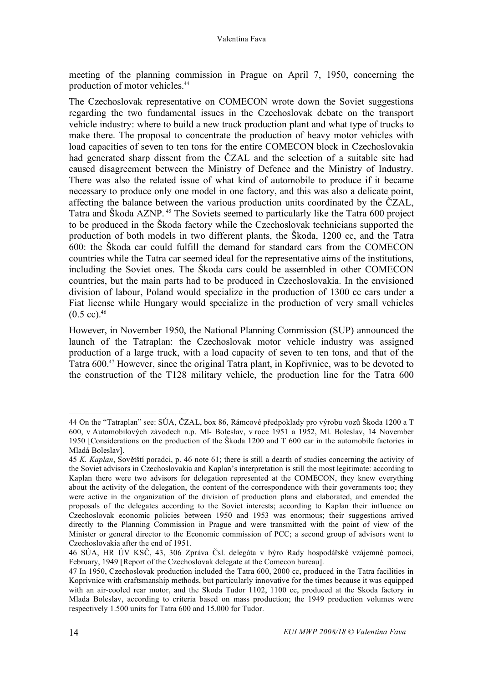meeting of the planning commission in Prague on April 7, 1950, concerning the production of motor vehicles. 44

The Czechoslovak representative on COMECON wrote down the Soviet suggestions regarding the two fundamental issues in the Czechoslovak debate on the transport vehicle industry: where to build a new truck production plant and what type of trucks to make there. The proposal to concentrate the production of heavy motor vehicles with load capacities of seven to ten tons for the entire COMECON block in Czechoslovakia had generated sharp dissent from the ČZAL and the selection of a suitable site had caused disagreement between the Ministry of Defence and the Ministry of Industry. There was also the related issue of what kind of automobile to produce if it became necessary to produce only one model in one factory, and this was also a delicate point, affecting the balance between the various production units coordinated by the ČZAL, Tatra and Škoda AZNP. <sup>45</sup> The Soviets seemed to particularly like the Tatra 600 project to be produced in the Škoda factory while the Czechoslovak technicians supported the production of both models in two different plants, the Škoda, 1200 cc, and the Tatra 600: the Škoda car could fulfill the demand for standard cars from the COMECON countries while the Tatra car seemed ideal for the representative aims of the institutions, including the Soviet ones. The Škoda cars could be assembled in other COMECON countries, but the main parts had to be produced in Czechoslovakia. In the envisioned division of labour, Poland would specialize in the production of 1300 cc cars under a Fiat license while Hungary would specialize in the production of very small vehicles  $(0.5 \text{ cc})$ .<sup>46</sup>

However, in November 1950, the National Planning Commission (SUP) announced the launch of the Tatraplan: the Czechoslovak motor vehicle industry was assigned production of a large truck, with a load capacity of seven to ten tons, and that of the Tatra 600.47 However, since the original Tatra plant, in Kopřivnice, was to be devoted to the construction of the T128 military vehicle, the production line for the Tatra 600

 <sup>44</sup> On the "Tatraplan" see: SÚA, <sup>Č</sup>ZAL, box 86, Rámcové <sup>p</sup>ředpoklady pro <sup>v</sup>ýrobu voz<sup>ů</sup> <sup>Š</sup>koda <sup>1200</sup> <sup>a</sup> <sup>T</sup> 600, v Automobilových závodech n.p. Ml- Boleslav, v roce 1951 a 1952, Ml. Boleslav, 14 November 1950 [Considerations on the production of the Škoda 1200 and T 600 car in the automobile factories in Mladá Boleslav].

<sup>45</sup> *K. Kaplan*, Sovětští poradci, p. 46 note 61; there is still a dearth of studies concerning the activity of the Soviet advisors in Czechoslovakia and Kaplan's interpretation is still the most legitimate: according to Kaplan there were two advisors for delegation represented at the COMECON, they knew everything about the activity of the delegation, the content of the correspondence with their governments too; they were active in the organization of the division of production plans and elaborated, and emended the proposals of the delegates according to the Soviet interests; according to Kaplan their influence on Czechoslovak economic policies between 1950 and 1953 was enormous; their suggestions arrived directly to the Planning Commission in Prague and were transmitted with the point of view of the Minister or general director to the Economic commission of PCC; a second group of advisors went to Czechoslovakia after the end of 1951.

<sup>46</sup> SÚA, HR ÚV KSČ, 43, 306 Zpráva Čsl. delegáta v býro Rady hospodářské vzájemné pomoci, February, 1949 [Report of the Czechoslovak delegate at the Comecon bureau].

<sup>47</sup> In 1950, Czechoslovak production included the Tatra 600, 2000 cc, produced in the Tatra facilities in Koprivnice with craftsmanship methods, but particularly innovative for the times because it was equipped with an air-cooled rear motor, and the Skoda Tudor 1102, 1100 cc, produced at the Skoda factory in Mlada Boleslav, according to criteria based on mass production; the 1949 production volumes were respectively 1.500 units for Tatra 600 and 15.000 for Tudor.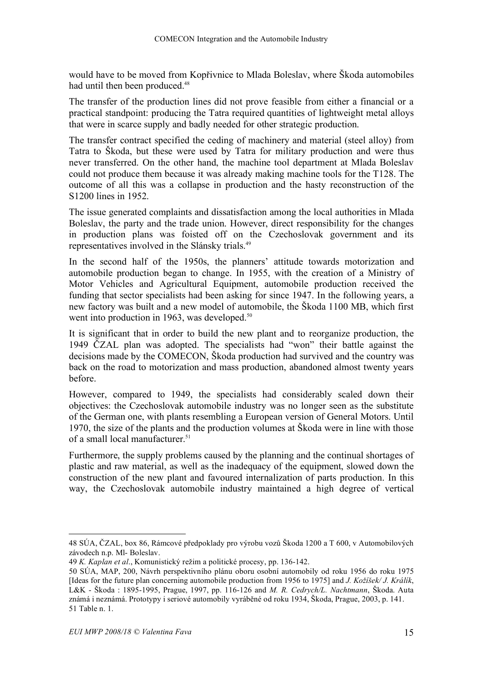would have to be moved from Kopřivnice to Mlada Boleslav, where Škoda automobiles had until then been produced.<sup>48</sup>

The transfer of the production lines did not prove feasible from either a financial or a practical standpoint: producing the Tatra required quantities of lightweight metal alloys that were in scarce supply and badly needed for other strategic production.

The transfer contract specified the ceding of machinery and material (steel alloy) from Tatra to Škoda, but these were used by Tatra for military production and were thus never transferred. On the other hand, the machine tool department at Mlada Boleslav could not produce them because it was already making machine tools for the T128. The outcome of all this was a collapse in production and the hasty reconstruction of the S1200 lines in 1952.

The issue generated complaints and dissatisfaction among the local authorities in Mlada Boleslav, the party and the trade union. However, direct responsibility for the changes in production plans was foisted off on the Czechoslovak government and its representatives involved in the Slánsky trials. 49

In the second half of the 1950s, the planners' attitude towards motorization and automobile production began to change. In 1955, with the creation of a Ministry of Motor Vehicles and Agricultural Equipment, automobile production received the funding that sector specialists had been asking for since 1947. In the following years, a new factory was built and a new model of automobile, the Škoda 1100 MB, which first went into production in 1963, was developed.<sup>50</sup>

It is significant that in order to build the new plant and to reorganize production, the 1949 ČZAL plan was adopted. The specialists had "won" their battle against the decisions made by the COMECON, Škoda production had survived and the country was back on the road to motorization and mass production, abandoned almost twenty years before.

However, compared to 1949, the specialists had considerably scaled down their objectives: the Czechoslovak automobile industry was no longer seen as the substitute of the German one, with plants resembling a European version of General Motors. Until 1970, the size of the plants and the production volumes at Škoda were in line with those of a small local manufacturer. 51

Furthermore, the supply problems caused by the planning and the continual shortages of plastic and raw material, as well as the inadequacy of the equipment, slowed down the construction of the new plant and favoured internalization of parts production. In this way, the Czechoslovak automobile industry maintained a high degree of vertical

 $\overline{a}$ 

<sup>48</sup> SÚA, ČZAL, box 86, Rámcové předpoklady pro výrobu vozů Škoda 1200 a T 600, v Automobilových závodech n.p. Ml- Boleslav.

<sup>49</sup> *K. Kaplan et al*., Komunistický režim a politické procesy, pp. 136-142.

<sup>50</sup> SÚA, MAP, 200, Návrh perspektivního plánu oboru osobní automobily od roku 1956 do roku 1975 [Ideas for the future plan concerning automobile production from 1956 to 1975] and *J. Kožíšek/ J. Králík*, L&K - Škoda : 1895-1995, Prague, 1997, pp. 116-126 and *M. R. Cedrych/L. Nachtmann*, Škoda. Auta známá i neznámá. Prototypy i seriové automobily vyráběné od roku 1934, Škoda, Prague, 2003, p. 141. 51 Table n. 1.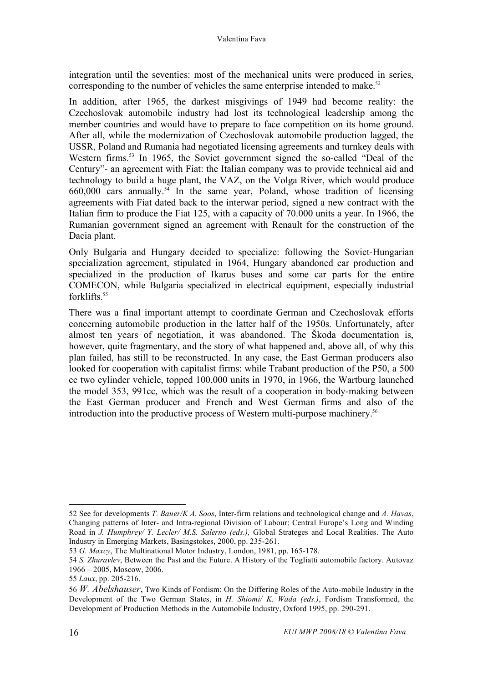integration until the seventies: most of the mechanical units were produced in series, corresponding to the number of vehicles the same enterprise intended to make.<sup>52</sup>

In addition, after 1965, the darkest misgivings of 1949 had become reality: the Czechoslovak automobile industry had lost its technological leadership among the member countries and would have to prepare to face competition on its home ground. After all, while the modernization of Czechoslovak automobile production lagged, the USSR, Poland and Rumania had negotiated licensing agreements and turnkey deals with Western firms.<sup>53</sup> In 1965, the Soviet government signed the so-called "Deal of the Century"- an agreement with Fiat: the Italian company was to provide technical aid and technology to build a huge plant, the VAZ, on the Volga River, which would produce  $660,000$  cars annually.<sup>54</sup> In the same year, Poland, whose tradition of licensing agreements with Fiat dated back to the interwar period, signed a new contract with the Italian firm to produce the Fiat 125, with a capacity of 70.000 units a year. In 1966, the Rumanian government signed an agreement with Renault for the construction of the Dacia plant.

Only Bulgaria and Hungary decided to specialize: following the Soviet-Hungarian specialization agreement, stipulated in 1964, Hungary abandoned car production and specialized in the production of Ikarus buses and some car parts for the entire COMECON, while Bulgaria specialized in electrical equipment, especially industrial forklifts.<sup>55</sup>

There was a final important attempt to coordinate German and Czechoslovak efforts concerning automobile production in the latter half of the 1950s. Unfortunately, after almost ten years of negotiation, it was abandoned. The Škoda documentation is, however, quite fragmentary, and the story of what happened and, above all, of why this plan failed, has still to be reconstructed. In any case, the East German producers also looked for cooperation with capitalist firms: while Trabant production of the P50, a 500 cc two cylinder vehicle, topped 100,000 units in 1970, in 1966, the Wartburg launched the model 353, 991cc, which was the result of a cooperation in body-making between the East German producer and French and West German firms and also of the introduction into the productive process of Western multi-purpose machinery.56

 <sup>52</sup> See for developments *T. Bauer/K A. Soos*, Inter-firm relations and technological change and *A. Havas*, Changing patterns of Inter- and Intra-regional Division of Labour: Central Europe's Long and Winding Road in *J. Humphrey/ Y. Lecler/ M.S. Salerno (eds.),* Global Strateges and Local Realities. The Auto Industry in Emerging Markets, Basingstokes, 2000, pp. 235-261.

<sup>53</sup> *G. Maxcy*, The Multinational Motor Industry, London, 1981, pp. 165-178.

<sup>54</sup> *S. Zhuravlev*, Between the Past and the Future. A History of the Togliatti automobile factory. Autovaz 1966 – 2005, Moscow, 2006.

<sup>55</sup> *Laux*, pp. 205-216.

<sup>56</sup> *W. Abelshauser*, Two Kinds of Fordism: On the Differing Roles of the Auto-mobile Industry in the Development of the Two German States, in *H. Shiomi/ K. Wada (eds.)*, Fordism Transformed, the Development of Production Methods in the Automobile Industry, Oxford 1995, pp. 290-291.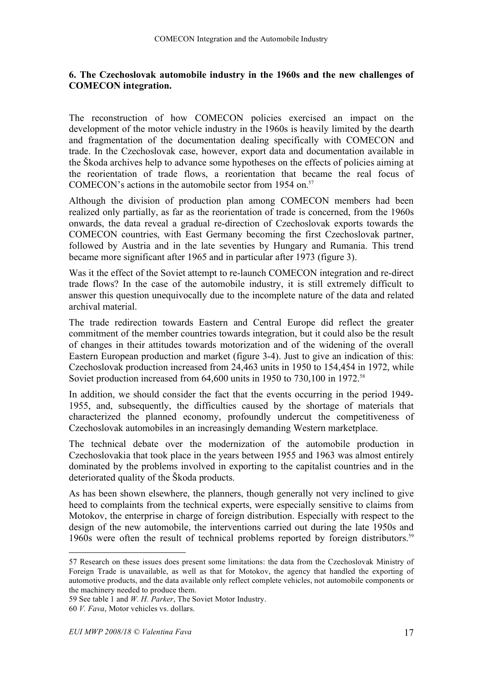#### **6. The Czechoslovak automobile industry in the 1960s and the new challenges of COMECON integration.**

The reconstruction of how COMECON policies exercised an impact on the development of the motor vehicle industry in the 1960s is heavily limited by the dearth and fragmentation of the documentation dealing specifically with COMECON and trade. In the Czechoslovak case, however, export data and documentation available in the Škoda archives help to advance some hypotheses on the effects of policies aiming at the reorientation of trade flows, a reorientation that became the real focus of COMECON's actions in the automobile sector from 1954 on. 57

Although the division of production plan among COMECON members had been realized only partially, as far as the reorientation of trade is concerned, from the 1960s onwards, the data reveal a gradual re-direction of Czechoslovak exports towards the COMECON countries, with East Germany becoming the first Czechoslovak partner, followed by Austria and in the late seventies by Hungary and Rumania. This trend became more significant after 1965 and in particular after 1973 (figure 3).

Was it the effect of the Soviet attempt to re-launch COMECON integration and re-direct trade flows? In the case of the automobile industry, it is still extremely difficult to answer this question unequivocally due to the incomplete nature of the data and related archival material.

The trade redirection towards Eastern and Central Europe did reflect the greater commitment of the member countries towards integration, but it could also be the result of changes in their attitudes towards motorization and of the widening of the overall Eastern European production and market (figure 3-4). Just to give an indication of this: Czechoslovak production increased from 24,463 units in 1950 to 154,454 in 1972, while Soviet production increased from 64,600 units in 1950 to 730,100 in 1972.<sup>58</sup>

In addition, we should consider the fact that the events occurring in the period 1949- 1955, and, subsequently, the difficulties caused by the shortage of materials that characterized the planned economy, profoundly undercut the competitiveness of Czechoslovak automobiles in an increasingly demanding Western marketplace.

The technical debate over the modernization of the automobile production in Czechoslovakia that took place in the years between 1955 and 1963 was almost entirely dominated by the problems involved in exporting to the capitalist countries and in the deteriorated quality of the Škoda products.

As has been shown elsewhere, the planners, though generally not very inclined to give heed to complaints from the technical experts, were especially sensitive to claims from Motokov, the enterprise in charge of foreign distribution. Especially with respect to the design of the new automobile, the interventions carried out during the late 1950s and 1960s were often the result of technical problems reported by foreign distributors.<sup>59</sup>

 <sup>57</sup> Research on these issues does present some limitations: the data from the Czechoslovak Ministry of Foreign Trade is unavailable, as well as that for Motokov, the agency that handled the exporting of automotive products, and the data available only reflect complete vehicles, not automobile components or the machinery needed to produce them.

<sup>59</sup> See table 1 and *W. H. Parker*, The Soviet Motor Industry.

<sup>60</sup> *V. Fava*, Motor vehicles vs. dollars.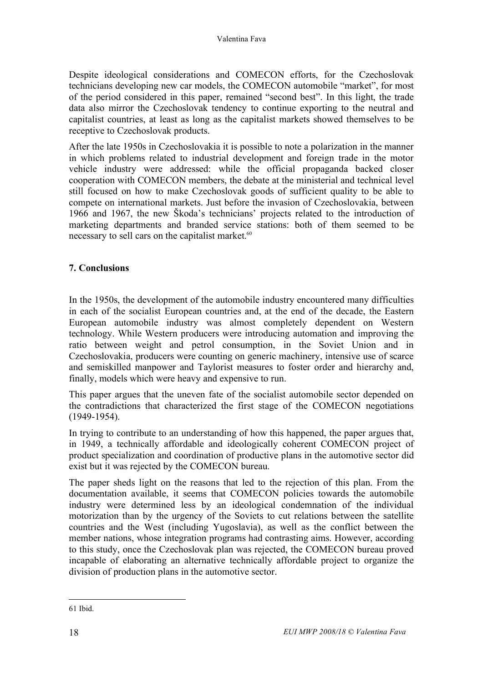Despite ideological considerations and COMECON efforts, for the Czechoslovak technicians developing new car models, the COMECON automobile "market", for most of the period considered in this paper, remained "second best". In this light, the trade data also mirror the Czechoslovak tendency to continue exporting to the neutral and capitalist countries, at least as long as the capitalist markets showed themselves to be receptive to Czechoslovak products.

After the late 1950s in Czechoslovakia it is possible to note a polarization in the manner in which problems related to industrial development and foreign trade in the motor vehicle industry were addressed: while the official propaganda backed closer cooperation with COMECON members, the debate at the ministerial and technical level still focused on how to make Czechoslovak goods of sufficient quality to be able to compete on international markets. Just before the invasion of Czechoslovakia, between 1966 and 1967, the new Škoda's technicians' projects related to the introduction of marketing departments and branded service stations: both of them seemed to be necessary to sell cars on the capitalist market.<sup>60</sup>

## **7. Conclusions**

In the 1950s, the development of the automobile industry encountered many difficulties in each of the socialist European countries and, at the end of the decade, the Eastern European automobile industry was almost completely dependent on Western technology. While Western producers were introducing automation and improving the ratio between weight and petrol consumption, in the Soviet Union and in Czechoslovakia, producers were counting on generic machinery, intensive use of scarce and semiskilled manpower and Taylorist measures to foster order and hierarchy and, finally, models which were heavy and expensive to run.

This paper argues that the uneven fate of the socialist automobile sector depended on the contradictions that characterized the first stage of the COMECON negotiations (1949-1954).

In trying to contribute to an understanding of how this happened, the paper argues that, in 1949, a technically affordable and ideologically coherent COMECON project of product specialization and coordination of productive plans in the automotive sector did exist but it was rejected by the COMECON bureau.

The paper sheds light on the reasons that led to the rejection of this plan. From the documentation available, it seems that COMECON policies towards the automobile industry were determined less by an ideological condemnation of the individual motorization than by the urgency of the Soviets to cut relations between the satellite countries and the West (including Yugoslavia), as well as the conflict between the member nations, whose integration programs had contrasting aims. However, according to this study, once the Czechoslovak plan was rejected, the COMECON bureau proved incapable of elaborating an alternative technically affordable project to organize the division of production plans in the automotive sector.

 <sup>61</sup> Ibid.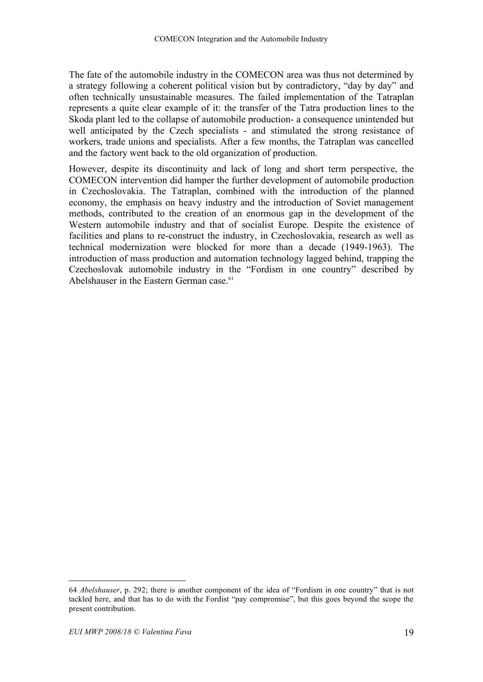The fate of the automobile industry in the COMECON area was thus not determined by a strategy following a coherent political vision but by contradictory, "day by day" and often technically unsustainable measures. The failed implementation of the Tatraplan represents a quite clear example of it: the transfer of the Tatra production lines to the Skoda plant led to the collapse of automobile production- a consequence unintended but well anticipated by the Czech specialists - and stimulated the strong resistance of workers, trade unions and specialists. After a few months, the Tatraplan was cancelled and the factory went back to the old organization of production.

However, despite its discontinuity and lack of long and short term perspective, the COMECON intervention did hamper the further development of automobile production in Czechoslovakia. The Tatraplan, combined with the introduction of the planned economy, the emphasis on heavy industry and the introduction of Soviet management methods, contributed to the creation of an enormous gap in the development of the Western automobile industry and that of socialist Europe. Despite the existence of facilities and plans to re-construct the industry, in Czechoslovakia, research as well as technical modernization were blocked for more than a decade (1949-1963). The introduction of mass production and automation technology lagged behind, trapping the Czechoslovak automobile industry in the "Fordism in one country" described by Abelshauser in the Eastern German case.<sup>61</sup>

 <sup>64</sup> *Abelshauser*, p. 292; there is another component of the idea of "Fordism in one country" that is not tackled here, and that has to do with the Fordist "pay compromise", but this goes beyond the scope the present contribution.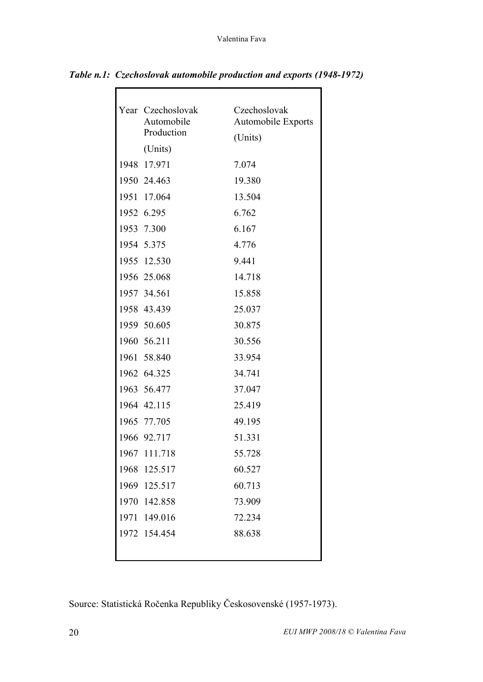| Year Czechoslovak<br>Automobile | Czechoslovak<br><b>Automobile Exports</b> |
|---------------------------------|-------------------------------------------|
| Production                      | (Units)                                   |
| (Units)                         |                                           |
| 1948 17.971                     | 7.074                                     |
| 1950 24.463                     | 19.380                                    |
| 1951 17.064                     | 13.504                                    |
| 1952 6.295                      | 6.762                                     |
| 1953 7.300                      | 6.167                                     |
| 1954 5.375                      | 4.776                                     |
| 1955 12.530                     | 9.441                                     |
| 1956 25.068                     | 14.718                                    |
| 1957 34.561                     | 15.858                                    |
| 1958 43.439                     | 25.037                                    |
| 1959 50.605                     | 30.875                                    |
| 1960 56.211                     | 30.556                                    |
| 1961 58.840                     | 33.954                                    |
| 1962 64.325                     | 34.741                                    |
| 1963 56.477                     | 37.047                                    |
| 1964 42.115                     | 25.419                                    |
| 1965 77.705                     | 49.195                                    |
| 1966 92.717                     | 51.331                                    |
| 1967 111.718                    | 55.728                                    |
| 1968 125.517                    | 60.527                                    |
| 1969 125.517                    | 60.713                                    |
| 1970 142.858                    | 73.909                                    |
| 1971 149.016                    | 72.234                                    |
| 1972 154.454                    | 88.638                                    |
|                                 |                                           |
|                                 |                                           |

*Table n.1: Czechoslovak automobile production and exports (1948-1972)*

Source: Statistická Ročenka Republiky Českosovenské (1957-1973).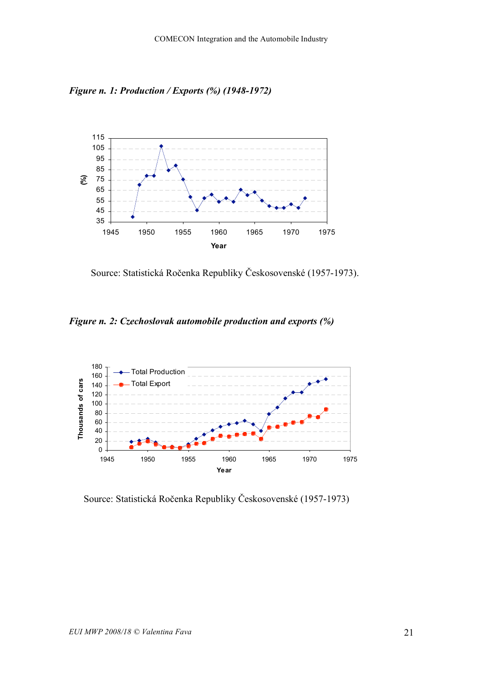*Figure n. 1: Production / Exports (%) (1948-1972)*



Source: Statistická Ročenka Republiky Českosovenské (1957-1973).

*Figure n. 2: Czechoslovak automobile production and exports (%)*



Source: Statistická Ročenka Republiky Českosovenské (1957-1973)